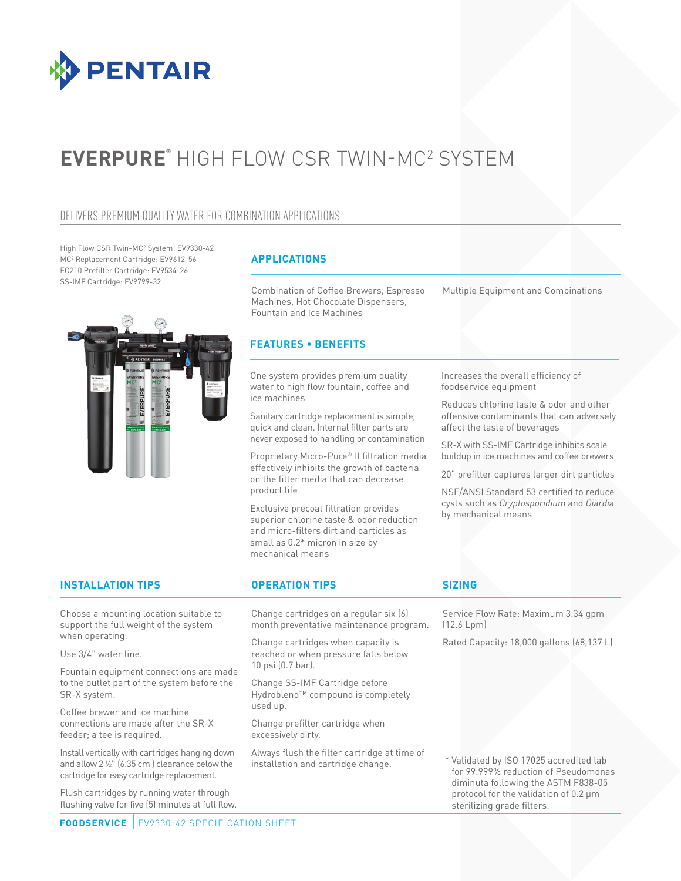

# **EVERPURE®** HIGH FLOW CSR TWIN-MC2 SYSTEM

### DELIVERS PREMIUM QUALITY WATER FOR COMBINATION APPLICATIONS

High Flow CSR Twin-MC2 System: EV9330-42 MC2 Replacement Cartridge: EV9612-56 EC210 Prefilter Cartridge: EV9534-26 SS-IMF Cartridge: EV9799-32

### **APPLICATIONS**

Combination of Coffee Brewers, Espresso Machines, Hot Chocolate Dispensers, Fountain and Ice Machines

### **FEATURES • BENEFITS**

One system provides premium quality water to high flow fountain, coffee and ice machines

Sanitary cartridge replacement is simple, quick and clean. Internal filter parts are never exposed to handling or contamination

Proprietary Micro-Pure® II filtration media effectively inhibits the growth of bacteria on the filter media that can decrease product life

Exclusive precoat filtration provides superior chlorine taste & odor reduction and micro-filters dirt and particles as small as 0.2\* micron in size by mechanical means

Multiple Equipment and Combinations

### Increases the overall efficiency of foodservice equipment

Reduces chlorine taste & odor and other offensive contaminants that can adversely affect the taste of beverages

SR-X with SS-IMF Cartridge inhibits scale buildup in ice machines and coffee brewers

20" prefilter captures larger dirt particles

NSF/ANSI Standard 53 certified to reduce cysts such as *Cryptosporidium* and *Giardia* by mechanical means

### **INSTALLATION TIPS OPERATION TIPS SIZING**

Choose a mounting location suitable to support the full weight of the system when operating.

Use 3/4" water line.

Fountain equipment connections are made to the outlet part of the system before the SR-X system.

Coffee brewer and ice machine connections are made after the SR-X feeder; a tee is required.

Install vertically with cartridges hanging down and allow 2 1 ⁄2" (6.35 cm ) clearance below the cartridge for easy cartridge replacement.

Flush cartridges by running water through flushing valve for five (5) minutes at full flow.

Change cartridges on a regular six (6) month preventative maintenance program.

Change cartridges when capacity is reached or when pressure falls below 10 psi (0.7 bar).

Change SS-IMF Cartridge before Hydroblend™ compound is completely used up.

Change prefilter cartridge when excessively dirty.

Always flush the filter cartridge at time of installation and cartridge change.

Service Flow Rate: Maximum 3.34 gpm (12.6 Lpm)

Rated Capacity: 18,000 gallons (68,137 L)

 \* Validated by ISO 17025 accredited lab for 99.999% reduction of Pseudomonas diminuta following the ASTM F838-05 protocol for the validation of 0.2 μm sterilizing grade filters.